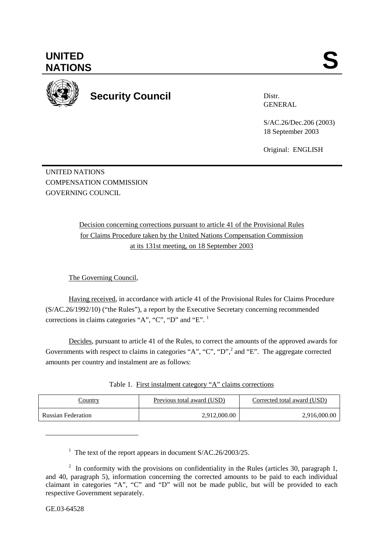

**Security Council** 

Distr. GENERAL

S/AC.26/Dec.206 (2003) 18 September 2003

Original: ENGLISH

UNITED NATIONS COMPENSATION COMMISSION GOVERNING COUNCIL

> Decision concerning corrections pursuant to article 41 of the Provisional Rules for Claims Procedure taken by the United Nations Compensation Commission at its 131st meeting, on 18 September 2003

The Governing Council,

Having received, in accordance with article 41 of the Provisional Rules for Claims Procedure (S/AC.26/1992/10) ("the Rules"), a report by the Executive Secretary concerning recommended corrections in claims categories "A", "C", "D" and "E". <sup>1</sup>

Decides, pursuant to article 41 of the Rules, to correct the amounts of the approved awards for Governments with respect to claims in categories "A", "C", "D",  $^2$  and "E". The aggregate corrected amounts per country and instalment are as follows:

| Table 1. First instalment category "A" claims corrections |  |  |
|-----------------------------------------------------------|--|--|
|                                                           |  |  |

| Country                   | Previous total award (USD) | Corrected total award (USD) |
|---------------------------|----------------------------|-----------------------------|
| <b>Russian Federation</b> | 2,912,000.00               | 2,916,000.00                |

<sup>1</sup> The text of the report appears in document S/AC.26/2003/25.

 $\overline{a}$ 

<sup>&</sup>lt;sup>2</sup> In conformity with the provisions on confidentiality in the Rules (articles 30, paragraph 1, and 40, paragraph 5), information concerning the corrected amounts to be paid to each individual claimant in categories "A", "C" and "D" will not be made public, but will be provided to each respective Government separately.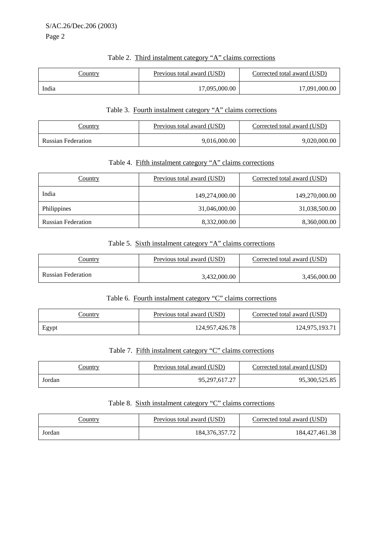Page 2

# Table 2. Third instalment category "A" claims corrections

| <u>Country</u> | Previous total award (USD) | Corrected total award (USD) |
|----------------|----------------------------|-----------------------------|
| India          | 17,095,000.00              | 17,091,000.00               |

#### Table 3. Fourth instalment category "A" claims corrections

| <u>Country</u>            | Previous total award (USD) | Corrected total award (USD) |
|---------------------------|----------------------------|-----------------------------|
| <b>Russian Federation</b> | 9,016,000.00               | 9,020,000.00                |

#### Table 4. Fifth instalment category "A" claims corrections

| Country                   | Previous total award (USD) | Corrected total award (USD) |
|---------------------------|----------------------------|-----------------------------|
| India                     | 149,274,000.00             | 149,270,000.00              |
| Philippines               | 31,046,000.00              | 31,038,500.00               |
| <b>Russian Federation</b> | 8,332,000.00               | 8,360,000.00                |

## Table 5. Sixth instalment category "A" claims corrections

| <u>Country</u>            | Previous total award (USD) | Corrected total award (USD) |
|---------------------------|----------------------------|-----------------------------|
| <b>Russian Federation</b> | 3,432,000.00               | 3,456,000.00                |

#### Table 6. Fourth instalment category "C" claims corrections

| <u>Country</u> | Previous total award (USD) | Corrected total award (USD) |
|----------------|----------------------------|-----------------------------|
| Egypt          | 124,957,426.78             | 124,975,193.71              |

## Table 7. Fifth instalment category "C" claims corrections

| <u>Country</u> | Previous total award (USD) | Corrected total award (USD) |
|----------------|----------------------------|-----------------------------|
| Jordan         | 95,297,617.27              | 95,300,525.85               |

#### Table 8. Sixth instalment category "C" claims corrections

| country | Previous total award (USD) | Corrected total award (USD) |
|---------|----------------------------|-----------------------------|
| Jordan  | 184, 376, 357. 72          | 184, 427, 461. 38           |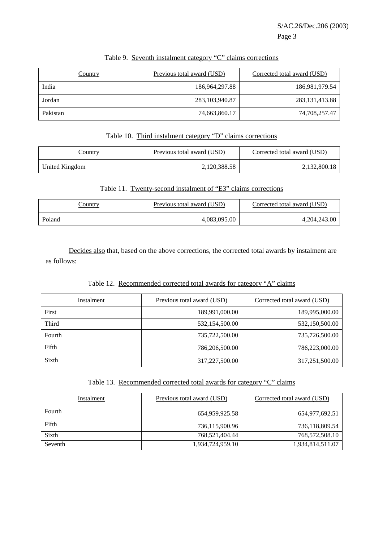| Country  | Previous total award (USD) | Corrected total award (USD) |
|----------|----------------------------|-----------------------------|
| India    | 186,964,297.88             | 186,981,979.54              |
| Jordan   | 283, 103, 940. 87          | 283, 131, 413.88            |
| Pakistan | 74,663,860.17              | 74,708,257.47               |

# Table 9. Seventh instalment category "C" claims corrections

## Table 10. Third instalment category "D" claims corrections

| $\angle$ ountry | <b>Previous total award (USD)</b> | Corrected total award (USD) |
|-----------------|-----------------------------------|-----------------------------|
| United Kingdom  | 2,120,388.58                      | 2,132,800.18                |

## Table 11. Twenty-second instalment of "E3" claims corrections

| Country | Previous total award (USD) | Corrected total award (USD) |
|---------|----------------------------|-----------------------------|
| Poland  | 4,083,095.00               | 4, 204, 243.00              |

 Decides also that, based on the above corrections, the corrected total awards by instalment are as follows:

## Table 12. Recommended corrected total awards for category "A" claims

| Instalment | Previous total award (USD) | Corrected total award (USD) |
|------------|----------------------------|-----------------------------|
| First      | 189,991,000.00             | 189,995,000.00              |
| Third      | 532,154,500.00             | 532,150,500.00              |
| Fourth     | 735,722,500.00             | 735,726,500.00              |
| Fifth      | 786,206,500.00             | 786,223,000.00              |
| Sixth      | 317,227,500.00             | 317,251,500.00              |

## Table 13. Recommended corrected total awards for category "C" claims

| Instalment | Previous total award (USD) | Corrected total award (USD) |
|------------|----------------------------|-----------------------------|
| Fourth     | 654,959,925.58             | 654,977,692.51              |
| Fifth      | 736,115,900.96             | 736,118,809.54              |
| Sixth      | 768,521,404.44             | 768,572,508.10              |
| Seventh    | 1,934,724,959.10           | 1,934,814,511.07            |